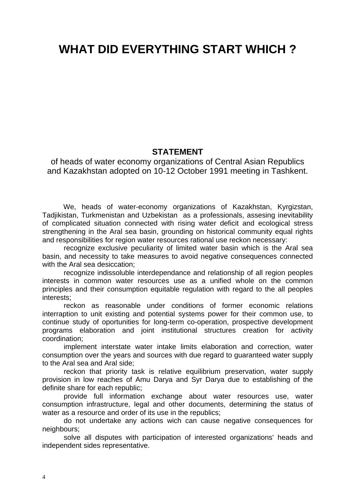# **WHAT DID EVERYTHING START WHICH ?**

## **STATEMENT**

of heads of water economy organizations of Central Asian Republics and Kazakhstan adopted on 10-12 October 1991 meeting in Tashkent.

We, heads of water-economy organizations of Kazakhstan, Kyrgizstan, Tadjikistan, Turkmenistan and Uzbekistan as a professionals, assesing inevitability of complicated situation connected with rising water deficit and ecological stress strengthening in the Aral sea basin, grounding on historical community equal rights and responsibilities for region water resources rational use reckon necessary:

recognize exclusive peculiarity of limited water basin which is the Aral sea basin, and necessity to take measures to avoid negative consequences connected with the Aral sea desiccation:

recognize indissoluble interdependance and relationship of all region peoples interests in common water resources use as a unified whole on the common principles and their consumption equitable regulation with regard to the all peoples interests;

reckon as reasonable under conditions of former economic relations interraption to unit existing and potential systems power for their common use, to continue study of oportunities for long-term co-operation, prospective development programs elaboration and joint institutional structures creation for activity coordination;

implement interstate water intake limits elaboration and correction, water consumption over the years and sources with due regard to guaranteed water supply to the Aral sea and Aral side;

reckon that priority task is relative equilibrium preservation, water supply provision in low reaches of Amu Darya and Syr Darya due to establishing of the definite share for each republic;

provide full information exchange about water resources use, water consumption infrastructure, legal and other documents, determining the status of water as a resource and order of its use in the republics;

do not undertake any actions wich can cause negative consequences for neighbours;

solve all disputes with participation of interested organizations' heads and independent sides representative.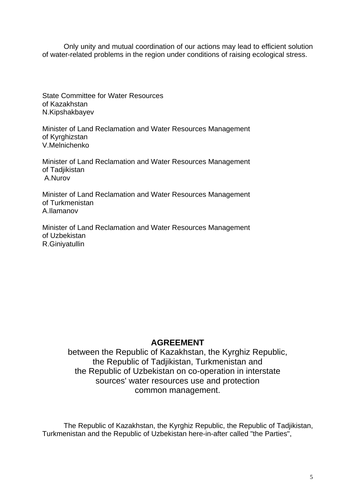Only unity and mutual coordination of our actions may lead to efficient solution of water-related problems in the region under conditions of raising ecological stress.

State Committee for Water Resources of Kazakhstan N.Kipshakbayev

Minister of Land Reclamation and Water Resources Management of Kyrghizstan V.Melnichenko

Minister of Land Reclamation and Water Resources Management of Tadjikistan A.Nurov

Minister of Land Reclamation and Water Resources Management of Turkmenistan A.Ilamanov

Minister of Land Reclamation and Water Resources Management of Uzbekistan R.Giniyatullin

## **AGREEMENT**

between the Republic of Kazakhstan, the Kyrghiz Republic, the Republic of Tadjikistan, Turkmenistan and the Republic of Uzbekistan on co-operation in interstate sources' water resources use and protection common management.

The Republic of Kazakhstan, the Kyrghiz Republic, the Republic of Tadjikistan, Turkmenistan and the Republic of Uzbekistan here-in-after called "the Parties",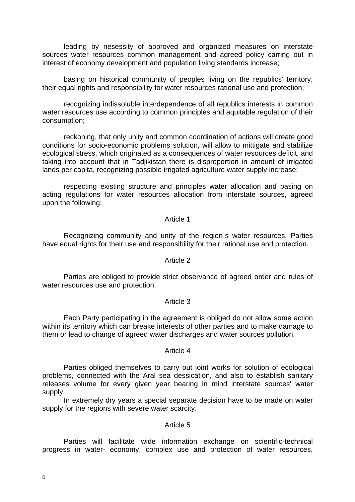leading by nesessity of approved and organized measures on interstate sources water resources common management and agreed policy carring out in interest of economy development and population living standards increase;

basing on historical community of peoples living on the republics' territory, their equal rights and responsibility for water resources rational use and protection;

recognizing indissoluble interdependence of all republics interests in common water resources use according to common principles and aquitable regulation of their consumption;

reckoning, that only unity and common coordination of actions will create good conditions for socio-economic problems solution, will allow to mittigate and stabilize ecological stress, which originated as a consequences of water resources deficit, and taking into account that in Tadjikistan there is disproportion in amount of irrigated lands per capita, recognizing possible irrigated agriculture water supply increase;

respecting existing structure and principles water allocation and basing on acting regulations for water resources allocation from interstate sources, agreed upon the following:

#### Article 1

Recognizing community and unity of the region`s water resources, Parties have equal rights for their use and responsibility for their rational use and protection.

#### Article 2

Parties are obliged to provide strict observance of agreed order and rules of water resources use and protection.

#### Article 3

Each Party participating in the agreement is obliged do not allow some action within its territory which can breake interests of other parties and to make damage to them or lead to change of agreed water discharges and water sources pollution.

#### Article 4

Parties obliged themselves to carry out joint works for solution of ecological problems, connected with the Aral sea dessication, and also to establish sanitary releases volume for every given year bearing in mind interstate sources' water supply.

In extremely dry years a special separate decision have to be made on water supply for the regions with severe water scarcity.

#### Article 5

Parties will facilitate wide information exchange on scientific-technical progress in water- economy, complex use and protection of water resources,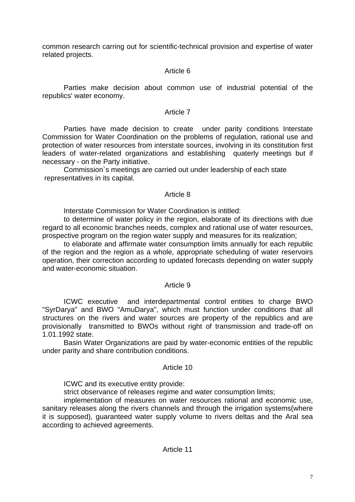common research carring out for scientific-technical provision and expertise of water related projects.

## Article 6

Parties make decision about common use of industrial potential of the republics' water economy.

#### Article 7

Parties have made decision to create under parity conditions Interstate Commission for Water Coordination on the problems of regulation, rational use and protection of water resources from interstate sources, involving in its constitution first leaders of water-related organizations and establishing quaterly meetings but if necessary - on the Party initiative.

Commission`s meetings are carried out under leadership of each state representatives in its capital.

## Article 8

Interstate Commission for Water Coordination is intitled:

to determine of water policy in the region, elaborate of its directions with due regard to all economic branches needs, complex and rational use of water resources, prospective program on the region water supply and measures for its realization;

to elaborate and affirmate water consumption limits annually for each republic of the region and the region as a whole, appropriate scheduling of water reservoirs operation, their correction according to updated forecasts depending on water supply and water-economic situation.

## Article 9

ICWC executive and interdepartmental control entities to charge BWO "SyrDarya" and BWO "AmuDarya", which must function under conditions that all structures on the rivers and water sources are property of the republics and are provisionally transmitted to BWOs without right of transmission and trade-off on 1.01.1992 state.

Basin Water Organizations are paid by water-economic entities of the republic under parity and share contribution conditions.

## Article 10

ICWC and its executive entity provide:

strict observance of releases regime and water consumption limits;

implementation of measures on water resources rational and economic use, sanitary releases along the rivers channels and through the irrigation systems (where it is supposed), guaranteed water supply volume to rivers deltas and the Aral sea according to achieved agreements.

## Article 11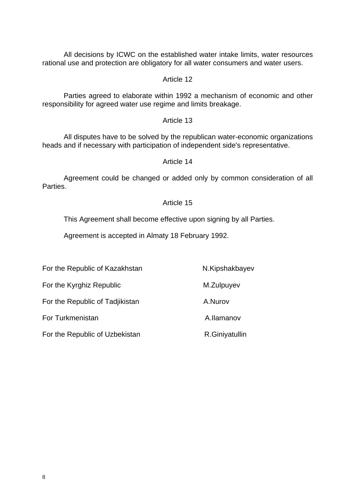All decisions by ICWC on the established water intake limits, water resources rational use and protection are obligatory for all water consumers and water users.

Article 12

Parties agreed to elaborate within 1992 a mechanism of economic and other responsibility for agreed water use regime and limits breakage.

#### Article 13

 All disputes have to be solved by the republican water-economic organizations heads and if necessary with participation of independent side's representative.

#### Article 14

 Agreement could be changed or added only by common consideration of all **Parties** 

#### Article 15

This Agreement shall become effective upon signing by all Parties.

Agreement is accepted in Almaty 18 February 1992.

For the Republic of Kazakhstan N.Kipshakbayev

For the Kyrghiz Republic M.Zulpuyev

For the Republic of Tadjikistan A.Nurov

For Turkmenistan A.Ilamanov

For the Republic of Uzbekistan R.Giniyatullin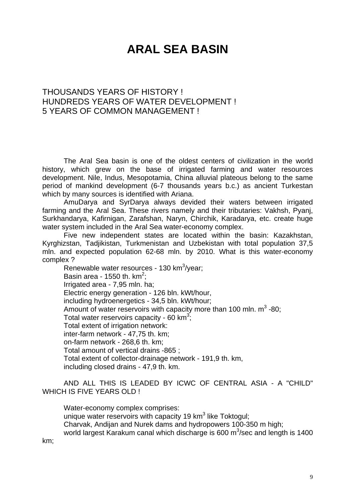# **ARAL SEA BASIN**

## THOUSANDS YEARS OF HISTORY ! HUNDREDS YEARS OF WATER DEVELOPMENT ! 5 YEARS OF COMMON MANAGEMENT !

 The Aral Sea basin is one of the oldest centers of civilization in the world history, which grew on the base of irrigated farming and water resources development. Nile, Indus, Mesopotamia, China alluvial plateous belong to the same period of mankind development (6-7 thousands years b.c.) as ancient Turkestan which by many sources is identified with Ariana.

 AmuDarya and SyrDarya always devided their waters between irrigated farming and the Aral Sea. These rivers namely and their tributaries: Vakhsh, Pyanj, Surkhandarya, Kafirnigan, Zarafshan, Naryn, Chirchik, Karadarya, etc. create huge water system included in the Aral Sea water-economy complex.

 Five new independent states are located within the basin: Kazakhstan, Kyrghizstan, Tadjikistan, Turkmenistan and Uzbekistan with total population 37,5 mln. and expected population 62-68 mln. by 2010. What is this water-economy complex ?

Renewable water resources - 130  $km^3$ /year; Basin area - 1550 th.  $km^2$ ; Irrigated area - 7,95 mln. ha; Electric energy generation - 126 bln. kWt/hour, including hydroenergetics - 34,5 bln. kWt/hour; Amount of water reservoirs with capacity more than 100 mln.  $m^3$  -80; Total water reservoirs capacity - 60  $km^3$ ; Total extent of irrigation network: inter-farm network - 47,75 th. km; on-farm network - 268,6 th. km; Total amount of vertical drains -865 ; Total extent of collector-drainage network - 191,9 th. km, including closed drains - 47,9 th. km.

 AND ALL THIS IS LEADED BY ICWC OF CENTRAL ASIA - A "CHILD" WHICH IS FIVE YEARS OLD !

 Water-economy complex comprises: unique water reservoirs with capacity 19  $km<sup>3</sup>$  like Toktogul; Charvak, Andijan and Nurek dams and hydropowers 100-350 m high; world largest Karakum canal which discharge is 600  $\mathrm{m}^3$ /sec and length is 1400

km;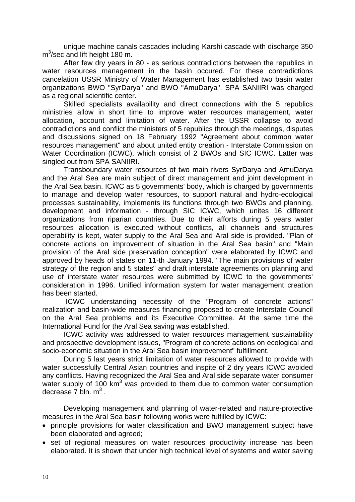unique machine canals cascades including Karshi cascade with discharge 350  $m^3$ /sec and lift height 180 m.

 After few dry years in 80 - es serious contradictions between the republics in water resources management in the basin occured. For these contradictions cancelation USSR Ministry of Water Management has established two basin water organizations BWO "SyrDarya" and BWO "AmuDarya". SPA SANIIRI was charged as a regional scientific center.

 Skilled specialists availability and direct connections with the 5 republics ministries allow in short time to improve water resources management, water allocation, account and limitation of water. After the USSR collapse to avoid contradictions and conflict the ministers of 5 republics through the meetings, disputes and discussions signed on 18 February 1992 "Agreement about common water resources management" and about united entity creation - Interstate Commission on Water Coordination (ICWC), which consist of 2 BWOs and SIC ICWC. Latter was singled out from SPA SANIIRI.

 Transboundary water resources of two main rivers SyrDarya and AmuDarya and the Aral Sea are main subject of direct management and joint development in the Aral Sea basin. ICWC as 5 governments' body, which is charged by governments to manage and develop water resources, to support natural and hydro-ecological processes sustainability, implements its functions through two BWOs and planning, development and information - through SIC ICWC, which unites 16 different organizations from riparian countries. Due to their afforts during 5 years water resources allocation is executed without conflicts, all channels and structures operability is kept, water supply to the Aral Sea and Aral side is provided. "Plan of concrete actions on improvement of situation in the Aral Sea basin" and "Main provision of the Aral side preservation conception" were elaborated by ICWC and approved by heads of states on 11-th January 1994. "The main provisions of water strategy of the region and 5 states" and draft interstate agreements on planning and use of interstate water resources were submitted by ICWC to the governments' consideration in 1996. Unified information system for water management creation has been started.

 ICWC understanding necessity of the "Program of concrete actions" realization and basin-wide measures financing proposed to create Interstate Council on the Aral Sea problems and its Executive Committee. At the same time the International Fund for the Aral Sea saving was established.

 ICWC activity was addressed to water resources management sustainability and prospective development issues, "Program of concrete actions on ecological and socio-economic situation in the Aral Sea basin improvement" fulfillment.

 During 5 last years strict limitation of water resources allowed to provide with water successfully Central Asian countries and inspite of 2 dry years ICWC avoided any conflicts. Having recognized the Aral Sea and Aral side separate water consumer water supply of 100  $km^3$  was provided to them due to common water consumption decrease  $7$  bln.  $m^3$ .

 Developing management and planning of water-related and nature-protective measures in the Aral Sea basin following works were fulfilled by ICWC:

- principle provisions for water classification and BWO management subject have been elaborated and agreed;
- set of regional measures on water resources productivity increase has been elaborated. It is shown that under high technical level of systems and water saving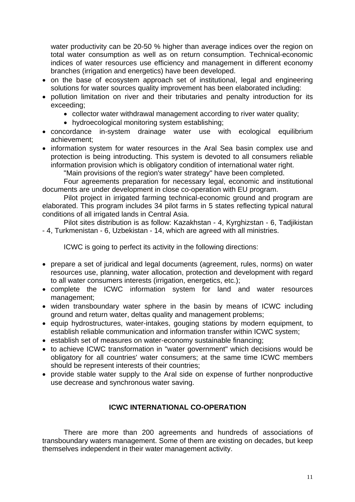water productivity can be 20-50 % higher than average indices over the region on total water consumption as well as on return consumption. Technical-economic indices of water resources use efficiency and management in different economy branches (irrigation and energetics) have been developed.

- on the base of ecosystem approach set of institutional, legal and engineering solutions for water sources quality improvement has been elaborated including:
- pollution limitation on river and their tributaries and penalty introduction for its exceeding;
	- collector water withdrawal management according to river water quality;
	- hydroecological monitoring system establishing;
- concordance in-system drainage water use with ecological equilibrium achievement;
- information system for water resources in the Aral Sea basin complex use and protection is being introducting. This system is devoted to all consumers reliable information provision which is obligatory condition of international water right.

"Main provisions of the region's water strategy" have been completed.

 Four agreements preparation for necessary legal, economic and institutional documents are under development in close co-operation with EU program.

 Pilot project in irrigated farming technical-economic ground and program are elaborated. This program includes 34 pilot farms in 5 states reflecting typical natural conditions of all irrigated lands in Central Asia.

 Pilot sites distribution is as follow: Kazakhstan - 4, Kyrghizstan - 6, Tadjikistan - 4, Turkmenistan - 6, Uzbekistan - 14, which are agreed with all ministries.

ICWC is going to perfect its activity in the following directions:

- prepare a set of juridical and legal documents (agreement, rules, norms) on water resources use, planning, water allocation, protection and development with regard to all water consumers interests (irrigation, energetics, etc.);
- complete the ICWC information system for land and water resources management;
- widen transboundary water sphere in the basin by means of ICWC including ground and return water, deltas quality and management problems;
- equip hydrostructures, water-intakes, gouging stations by modern equipment, to establish reliable communication and information transfer within ICWC system;
- establish set of measures on water-economy sustainable financing;
- to achieve ICWC transformation in "water government" which decisions would be obligatory for all countries' water consumers; at the same time ICWC members should be represent interests of their countries;
- provide stable water supply to the Aral side on expense of further nonproductive use decrease and synchronous water saving.

## **ICWC INTERNATIONAL CO-OPERATION**

There are more than 200 agreements and hundreds of associations of transboundary waters management. Some of them are existing on decades, but keep themselves independent in their water management activity.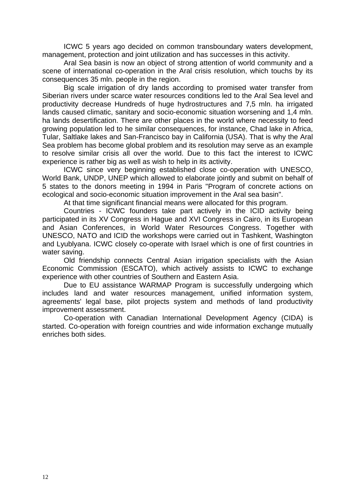ICWC 5 years ago decided on common transboundary waters development, management, protection and joint utilization and has successes in this activity.

 Aral Sea basin is now an object of strong attention of world community and a scene of international co-operation in the Aral crisis resolution, which touchs by its consequences 35 mln. people in the region.

 Big scale irrigation of dry lands according to promised water transfer from Siberian rivers under scarce water resources conditions led to the Aral Sea level and productivity decrease Hundreds of huge hydrostructures and 7,5 mln. ha irrigated lands caused climatic, sanitary and socio-economic situation worsening and 1,4 mln. ha lands desertification. There are other places in the world where necessity to feed growing population led to he similar consequences, for instance, Chad lake in Africa, Tular, Saltlake lakes and San-Francisco bay in California (USA). That is why the Aral Sea problem has become global problem and its resolution may serve as an example to resolve similar crisis all over the world. Due to this fact the interest to ICWC experience is rather big as well as wish to help in its activity.

 ICWC since very beginning established close co-operation with UNESCO, World Bank, UNDP, UNEP which allowed to elaborate jointly and submit on behalf of 5 states to the donors meeting in 1994 in Paris "Program of concrete actions on ecological and socio-economic situation improvement in the Aral sea basin".

At that time significant financial means were allocated for this program.

 Countries - ICWC founders take part actively in the ICID activity being participated in its XV Congress in Hague and XVI Congress in Cairo, in its European and Asian Conferences, in World Water Resources Congress. Together with UNESCO, NATO and ICID the workshops were carried out in Tashkent, Washington and Lyublyana. ICWC closely co-operate with Israel which is one of first countries in water saving.

 Old friendship connects Central Asian irrigation specialists with the Asian Economic Commission (ESCATO), which actively assists to ICWC to exchange experience with other countries of Southern and Eastern Asia.

 Due to EU assistance WARMAP Program is successfully undergoing which includes land and water resources management, unified information system, agreements' legal base, pilot projects system and methods of land productivity improvement assessment.

 Co-operation with Canadian International Development Agency (CIDA) is started. Co-operation with foreign countries and wide information exchange mutually enriches both sides.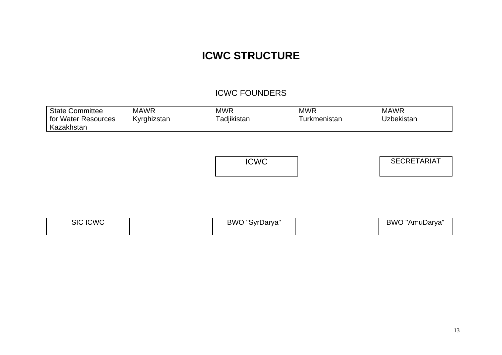## **ICWC STRUCTURE**

## ICWC FOUNDERS

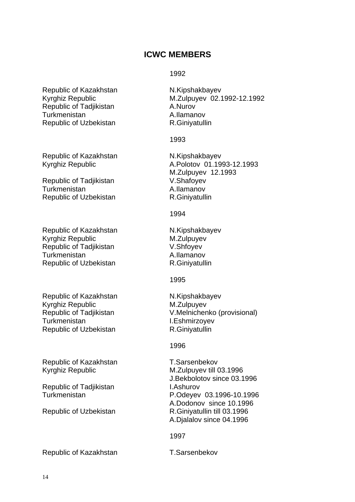## **ICWC MEMBERS**

#### 1992

Republic of Kazakhstan M.Kipshakbayev<br>Kyrghiz Republic M.Zulpuyev 02.1 Republic of Tadjikistan Manus A.Nurov Turkmenistan A.Ilamanov Republic of Uzbekistan R.Giniyatullin

Republic of Kazakhstan N.Kipshakbayev

Republic of Tadjikistan V.Shafoyev Turkmenistan A.Ilamanov Republic of Uzbekistan R.Giniyatullin

Republic of Kazakhstan N.Kipshakbayev Kyrghiz Republic M.Zulpuyev Republic of Tadjikistan V.Shfoyev Turkmenistan **A.Ilamanov** Republic of Uzbekistan R.Giniyatullin

Republic of Kazakhstan N.Kipshakbayev Kyrghiz Republic M.Zulpuyev Turkmenistan I.Eshmirzoyev Republic of Uzbekistan R.Giniyatullin

Republic of Kazakhstan T.Sarsenbekov Kyrghiz Republic M.Zulpuyev till 03.1996

Republic of Tadjikistan **I.Ashurov** 

M.Zulpuyev 02.1992-12.1992

#### 1993

Kyrghiz Republic A.Polotov 01.1993-12.1993 M.Zulpuyev 12.1993

1994

1995

Republic of Tadjikistan V.Melnichenko (provisional)

1996

J.Bekbolotov since 03.1996 Turkmenistan P.Odeyev 03.1996-10.1996 A.Dodonov since 10.1996 Republic of Uzbekistan R.Giniyatullin till 03.1996 A.Djalalov since 04.1996

1997

Republic of Kazakhstan T.Sarsenbekov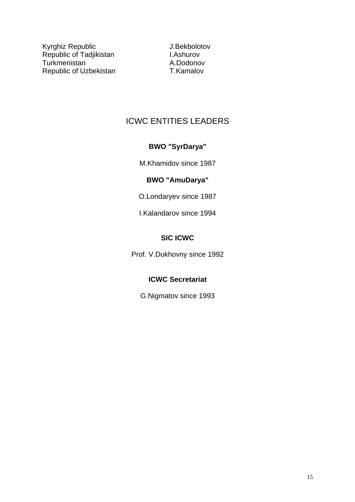Kyrghiz Republic **All and Accept Contract Contract Accept** J.Bekbolotov Republic of Tadjikistan **I.Ashurov** Turkmenistan A.Dodonov Republic of Uzbekistan T.Kamalov

## ICWC ENTITIES LEADERS

## **BWO "SyrDarya"**

M.Khamidov since 1987

## **BWO "AmuDarya"**

O.Londaryev since 1987

I.Kalandarov since 1994

## **SIC ICWC**

Prof. V.Dukhovny since 1992

## **ICWC Secretariat**

G.Nigmatov since 1993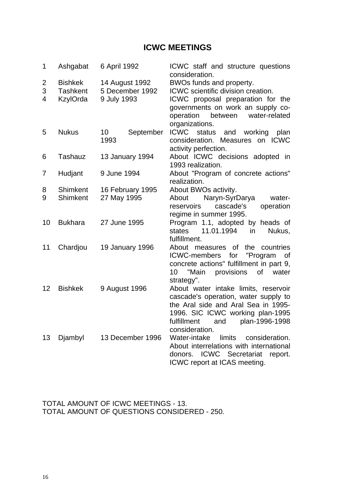## **ICWC MEETINGS**

| 1              | Ashgabat        | 6 April 1992                 | ICWC staff and structure questions<br>consideration. |
|----------------|-----------------|------------------------------|------------------------------------------------------|
| $\overline{c}$ | <b>Bishkek</b>  | 14 August 1992               | BWOs funds and property.                             |
| 3              | <b>Tashkent</b> | 5 December 1992              | ICWC scientific division creation.                   |
| $\overline{4}$ | KzylOrda        | 9 July 1993                  | ICWC proposal preparation for the                    |
|                |                 |                              | governments on work an supply co-                    |
|                |                 |                              | operation<br>between<br>water-related                |
|                |                 |                              | organizations.                                       |
| 5              | <b>Nukus</b>    | 10 <sup>°</sup><br>September | <b>ICWC</b><br>status<br>working<br>and<br>plan      |
|                |                 | 1993                         | consideration. Measures on ICWC                      |
|                |                 |                              | activity perfection.                                 |
| 6              | Tashauz         | 13 January 1994              | About ICWC decisions adopted in                      |
|                |                 |                              | 1993 realization.                                    |
| $\overline{7}$ | Hudjant         | 9 June 1994                  | About "Program of concrete actions"                  |
|                |                 |                              | realization.                                         |
| 8              | Shimkent        | 16 February 1995             | About BWOs activity.                                 |
| 9              | Shimkent        | 27 May 1995                  | Naryn-SyrDarya<br>water-<br>About                    |
|                |                 |                              | reservoirs<br>cascade's<br>operation                 |
|                |                 |                              | regime in summer 1995.                               |
| 10             | <b>Bukhara</b>  | 27 June 1995                 | Program 1.1, adopted<br>by heads of                  |
|                |                 |                              | states<br>11.01.1994<br>in<br>Nukus,                 |
|                |                 |                              | fulfillment.                                         |
| 11             | Chardjou        | 19 January 1996              | of the countries<br>About measures                   |
|                |                 |                              | "Program<br>ICWC-members<br>for<br>0f                |
|                |                 |                              | concrete actions" fulfillment in part 9,             |
|                |                 |                              | "Main<br>provisions<br>10<br>of<br>water             |
|                |                 |                              | strategy".                                           |
| 12             | <b>Bishkek</b>  | 9 August 1996                | About water intake limits, reservoir                 |
|                |                 |                              | cascade's operation, water supply to                 |
|                |                 |                              | the Aral side and Aral Sea in 1995-                  |
|                |                 |                              | 1996. SIC ICWC working plan-1995                     |
|                |                 |                              | plan-1996-1998<br>fulfillment<br>and                 |
|                |                 |                              | consideration.                                       |
| 13             | Djambyl         | 13 December 1996             | Water-intake<br>limits<br>consideration.             |
|                |                 |                              | About interrelations with international              |
|                |                 |                              | ICWC Secretariat<br>donors.<br>report.               |
|                |                 |                              | ICWC report at ICAS meeting.                         |

TOTAL AMOUNT OF ICWC MEETINGS - 13. TOTAL AMOUNT OF QUESTIONS CONSIDERED - 250.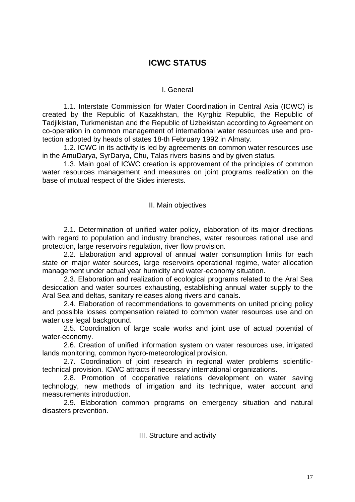## **ICWC STATUS**

## I. General

 1.1. Interstate Commission for Water Coordination in Central Asia (ICWC) is created by the Republic of Kazakhstan, the Kyrghiz Republic, the Republic of Tadjikistan, Turkmenistan and the Republic of Uzbekistan according to Agreement on co-operation in common management of international water resources use and protection adopted by heads of states 18-th February 1992 in Almaty.

 1.2. ICWC in its activity is led by agreements on common water resources use in the AmuDarya, SyrDarya, Chu, Talas rivers basins and by given status.

 1.3. Main goal of ICWC creation is approvement of the principles of common water resources management and measures on joint programs realization on the base of mutual respect of the Sides interests.

#### II. Main objectives

2.1. Determination of unified water policy, elaboration of its major directions with regard to population and industry branches, water resources rational use and protection, large reservoirs regulation, river flow provision.

 2.2. Elaboration and approval of annual water consumption limits for each state on major water sources, large reservoirs operational regime, water allocation management under actual year humidity and water-economy situation.

 2.3. Elaboration and realization of ecological programs related to the Aral Sea desiccation and water sources exhausting, establishing annual water supply to the Aral Sea and deltas, sanitary releases along rivers and canals.

 2.4. Elaboration of recommendations to governments on united pricing policy and possible losses compensation related to common water resources use and on water use legal background.

 2.5. Coordination of large scale works and joint use of actual potential of water-economy.

 2.6. Creation of unified information system on water resources use, irrigated lands monitoring, common hydro-meteorological provision.

 2.7. Coordination of joint research in regional water problems scientifictechnical provision. ICWC attracts if necessary international organizations.

 2.8. Promotion of cooperative relations development on water saving technology, new methods of irrigation and its technique, water account and measurements introduction.

 2.9. Elaboration common programs on emergency situation and natural disasters prevention.

III. Structure and activity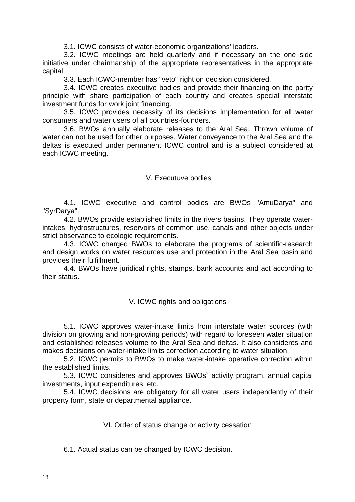3.1. ICWC consists of water-economic organizations' leaders.

 3.2. ICWC meetings are held quarterly and if necessary on the one side initiative under chairmanship of the appropriate representatives in the appropriate capital.

3.3. Each ICWC-member has "veto" right on decision considered.

 3.4. ICWC creates executive bodies and provide their financing on the parity principle with share participation of each country and creates special interstate investment funds for work joint financing.

 3.5. ICWC provides necessity of its decisions implementation for all water consumers and water users of all countries-founders.

 3.6. BWOs annually elaborate releases to the Aral Sea. Thrown volume of water can not be used for other purposes. Water conveyance to the Aral Sea and the deltas is executed under permanent ICWC control and is a subject considered at each ICWC meeting.

#### IV. Executuve bodies

 4.1. ICWC executive and control bodies are BWOs "AmuDarya" and "SyrDarya".

 4.2. BWOs provide established limits in the rivers basins. They operate waterintakes, hydrostructures, reservoirs of common use, canals and other objects under strict observance to ecologic requirements.

 4.3. ICWC charged BWOs to elaborate the programs of scientific-research and design works on water resources use and protection in the Aral Sea basin and provides their fulfillment.

 4.4. BWOs have juridical rights, stamps, bank accounts and act according to their status.

## V. ICWC rights and obligations

 5.1. ICWC approves water-intake limits from interstate water sources (with division on growing and non-growing periods) with regard to foreseen water situation and established releases volume to the Aral Sea and deltas. It also consideres and makes decisions on water-intake limits correction according to water situation.

 5.2. ICWC permits to BWOs to make water-intake operative correction within the established limits.

 5.3. ICWC consideres and approves BWOs` activity program, annual capital investments, input expenditures, etc.

 5.4. ICWC decisions are obligatory for all water users independently of their property form, state or departmental appliance.

VI. Order of status change or activity cessation

6.1. Actual status can be changed by ICWC decision.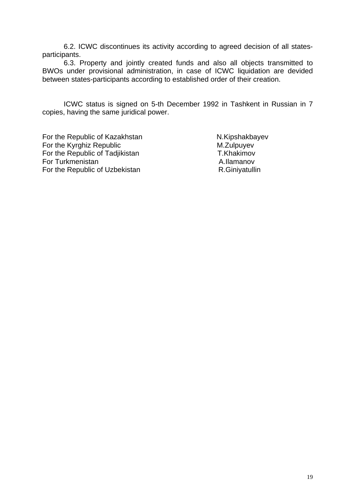6.2. ICWC discontinues its activity according to agreed decision of all statesparticipants.

 6.3. Property and jointly created funds and also all objects transmitted to BWOs under provisional administration, in case of ICWC liquidation are devided between states-participants according to established order of their creation.

 ICWC status is signed on 5-th December 1992 in Tashkent in Russian in 7 copies, having the same juridical power.

For the Republic of Kazakhstan N.Kipshakbayev For the Kyrghiz Republic M.Zulpuyev For the Republic of Tadjikistan T.Khakimov For Turkmenistan A.Ilamanov For the Republic of Uzbekistan R.Giniyatullin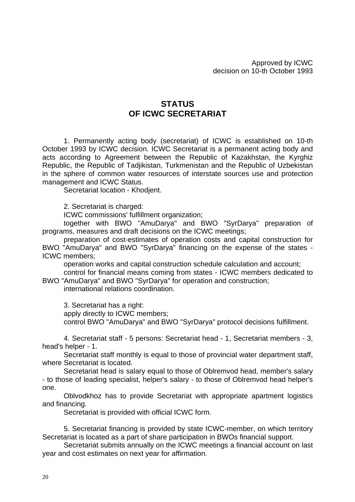## **STATUS OF ICWC SECRETARIAT**

 1. Permanently acting body (secretariat) of ICWC is established on 10-th October 1993 by ICWC decision. ICWC Secretariat is a permanent acting body and acts according to Agreement between the Republic of Kazakhstan, the Kyrghiz Republic, the Republic of Tadjikistan, Turkmenistan and the Republic of Uzbekistan in the sphere of common water resources of interstate sources use and protection management and ICWC Status.

Secretariat location - Khodjent.

2. Secretariat is charged:

ICWC commissions' fulfillment organization;

 together with BWO "AmuDarya" and BWO "SyrDarya" preparation of programs, measures and draft decisions on the ICWC meetings;

 preparation of cost-estimates of operation costs and capital construction for BWO "AmuDarya" and BWO "SyrDarya" financing on the expense of the states - ICWC members;

operation works and capital construction schedule calculation and account;

 control for financial means coming from states - ICWC members dedicated to BWO "AmuDarya" and BWO "SyrDarya" for operation and construction;

international relations coordination.

3. Secretariat has a right:

apply directly to ICWC members;

control BWO "AmuDarya" and BWO "SyrDarya" protocol decisions fulfillment.

 4. Secretariat staff - 5 persons: Secretariat head - 1, Secretariat members - 3, head's helper - 1.

 Secretariat staff monthly is equal to those of provincial water department staff, where Secretariat is located.

 Secretariat head is salary equal to those of Oblremvod head, member's salary - to those of leading specialist, helper's salary - to those of Oblremvod head helper's one.

 Oblvodkhoz has to provide Secretariat with appropriate apartment logistics and financing.

Secretariat is provided with official ICWC form.

 5. Secretariat financing is provided by state ICWC-member, on which territory Secretariat is located as a part of share participation in BWOs financial support.

 Secretariat submits annually on the ICWC meetings a financial account on last year and cost estimates on next year for affirmation.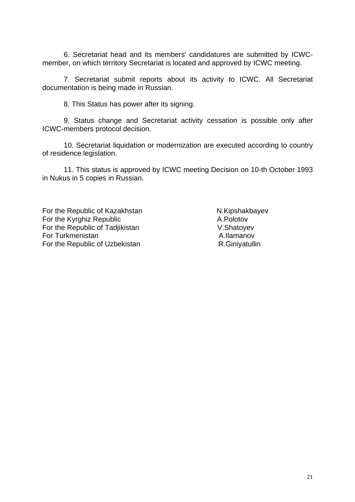6. Secretariat head and its members' candidatures are submitted by ICWCmember, on which territory Secretariat is located and approved by ICWC meeting.

 7. Secretariat submit reports about its activity to ICWC. All Secretariat documentation is being made in Russian.

8. This Status has power after its signing.

 9. Status change and Secretariat activity cessation is possible only after ICWC-members protocol decision.

 10. Secretariat liquidation or modernization are executed according to country of residence legislation.

 11. This status is approved by ICWC meeting Decision on 10-th October 1993 in Nukus in 5 copies in Russian.

For the Republic of Kazakhstan N.Kipshakbayev For the Kyrghiz Republic **A.Polotov** For the Republic of Tadjikistan V.Shatoyev For Turkmenistan A.Ilamanov For the Republic of Uzbekistan R.Giniyatullin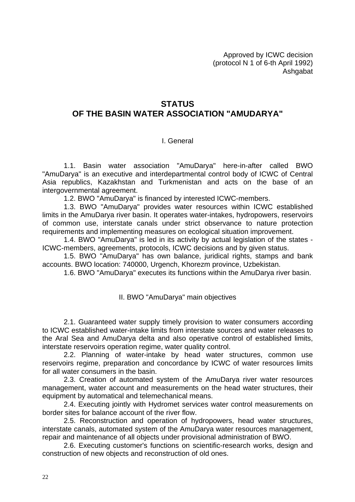Approved by ICWC decision (protocol N 1 of 6-th April 1992) **Ashgabat** 

## **STATUS OF THE BASIN WATER ASSOCIATION "AMUDARYA"**

## I. General

 1.1. Basin water association "AmuDarya" here-in-after called BWO "AmuDarya" is an executive and interdepartmental control body of ICWC of Central Asia republics, Kazakhstan and Turkmenistan and acts on the base of an intergovernmental agreement.

1.2. BWO "AmuDarya" is financed by interested ICWC-members.

 1.3. BWO "AmuDarya" provides water resources within ICWC established limits in the AmuDarya river basin. It operates water-intakes, hydropowers, reservoirs of common use, interstate canals under strict observance to nature protection requirements and implementing measures on ecological situation improvement.

 1.4. BWO "AmuDarya" is led in its activity by actual legislation of the states - ICWC-members, agreements, protocols, ICWC decisions and by given status.

 1.5. BWO "AmuDarya" has own balance, juridical rights, stamps and bank accounts. BWO location: 740000, Urgench, Khorezm province, Uzbekistan.

1.6. BWO "AmuDarya" executes its functions within the AmuDarya river basin.

## II. BWO "AmuDarya" main objectives

 2.1. Guaranteed water supply timely provision to water consumers according to ICWC established water-intake limits from interstate sources and water releases to the Aral Sea and AmuDarya delta and also operative control of established limits, interstate reservoirs operation regime, water quality control.

 2.2. Planning of water-intake by head water structures, common use reservoirs regime, preparation and concordance by ICWC of water resources limits for all water consumers in the basin.

 2.3. Creation of automated system of the AmuDarya river water resources management, water account and measurements on the head water structures, their equipment by automatical and telemechanical means.

 2.4. Executing jointly with Hydromet services water control measurements on border sites for balance account of the river flow.

 2.5. Reconstruction and operation of hydropowers, head water structures, interstate canals, automated system of the AmuDarya water resources management, repair and maintenance of all objects under provisional administration of BWO.

 2.6. Executing customer's functions on scientific-research works, design and construction of new objects and reconstruction of old ones.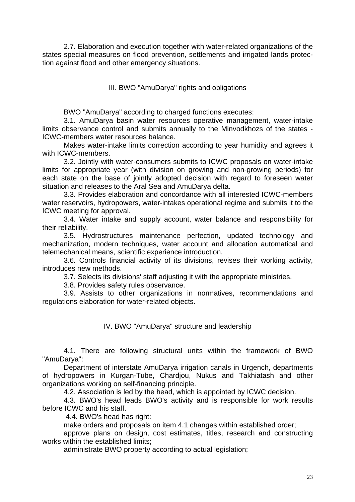2.7. Elaboration and execution together with water-related organizations of the states special measures on flood prevention, settlements and irrigated lands protection against flood and other emergency situations.

III. BWO "AmuDarya" rights and obligations

BWO "AmuDarya" according to charged functions executes:

 3.1. AmuDarya basin water resources operative management, water-intake limits observance control and submits annually to the Minvodkhozs of the states - ICWC-members water resources balance.

 Makes water-intake limits correction according to year humidity and agrees it with ICWC-members.

 3.2. Jointly with water-consumers submits to ICWC proposals on water-intake limits for appropriate year (with division on growing and non-growing periods) for each state on the base of jointly adopted decision with regard to foreseen water situation and releases to the Aral Sea and AmuDarya delta.

 3.3. Provides elaboration and concordance with all interested ICWC-members water reservoirs, hydropowers, water-intakes operational regime and submits it to the ICWC meeting for approval.

 3.4. Water intake and supply account, water balance and responsibility for their reliability.

 3.5. Hydrostructures maintenance perfection, updated technology and mechanization, modern techniques, water account and allocation automatical and telemechanical means, scientific experience introduction.

 3.6. Controls financial activity of its divisions, revises their working activity, introduces new methods.

3.7. Selects its divisions' staff adjusting it with the appropriate ministries.

3.8. Provides safety rules observance.

 3.9. Assists to other organizations in normatives, recommendations and regulations elaboration for water-related objects.

IV. BWO "AmuDarya" structure and leadership

 4.1. There are following structural units within the framework of BWO "AmuDarya":

 Department of interstate AmuDarya irrigation canals in Urgench, departments of hydropowers in Kurgan-Tube, Chardjou, Nukus and Takhiatash and other organizations working on self-financing principle.

4.2. Association is led by the head, which is appointed by ICWC decision.

 4.3. BWO's head leads BWO's activity and is responsible for work results before ICWC and his staff.

4.4. BWO's head has right:

make orders and proposals on item 4.1 changes within established order;

 approve plans on design, cost estimates, titles, research and constructing works within the established limits;

administrate BWO property according to actual legislation;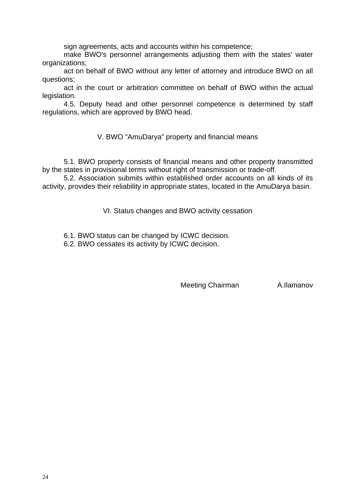sign agreements, acts and accounts within his competence;

 make BWO's personnel arrangements adjusting them with the states' water organizations;

 act on behalf of BWO without any letter of attorney and introduce BWO on all questions;

 act in the court or arbitration committee on behalf of BWO within the actual legislation.

 4.5. Deputy head and other personnel competence is determined by staff regulations, which are approved by BWO head.

V. BWO "AmuDarya" property and financial means

 5.1. BWO property consists of financial means and other property transmitted by the states in provisional terms without right of transmission or trade-off.

 5.2. Association submits within established order accounts on all kinds of its activity, provides their reliability in appropriate states, located in the AmuDarya basin.

VI. Status changes and BWO activity cessation

6.1. BWO status can be changed by ICWC decision.

6.2. BWO cessates its activity by ICWC decision.

Meeting Chairman **A.Ilamanov**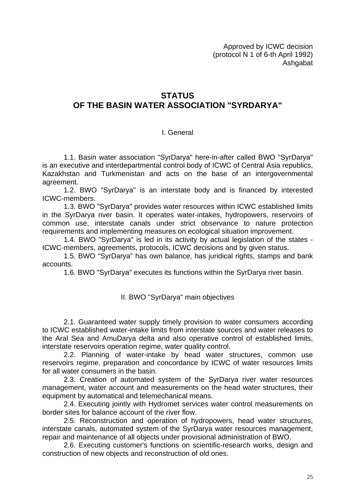Approved by ICWC decision (protocol N 1 of 6-th April 1992) Ashgabat

## **STATUS OF THE BASIN WATER ASSOCIATION "SYRDARYA"**

## I. General

 1.1. Basin water association "SyrDarya" here-in-after called BWO "SyrDarya" is an executive and interdepartmental control body of ICWC of Central Asia republics, Kazakhstan and Turkmenistan and acts on the base of an intergovernmental agreement.

 1.2. BWO "SyrDarya" is an interstate body and is financed by interested ICWC-members.

 1.3. BWO "SyrDarya" provides water resources within ICWC established limits in the SyrDarya river basin. It operates water-intakes, hydropowers, reservoirs of common use, interstate canals under strict observance to nature protection requirements and implementing measures on ecological situation improvement.

 1.4. BWO "SyrDarya" is led in its activity by actual legislation of the states - ICWC-members, agreements, protocols, ICWC decisions and by given status.

 1.5. BWO "SyrDarya" has own balance, has juridical rights, stamps and bank accounts.

1.6. BWO "SyrDarya" executes its functions within the SyrDarya river basin.

## II. BWO "SyrDarya" main objectives

 2.1. Guaranteed water supply timely provision to water consumers according to ICWC established water-intake limits from interstate sources and water releases to the Aral Sea and AmuDarya delta and also operative control of established limits, interstate reservoirs operation regime, water quality control.

 2.2. Planning of water-intake by head water structures, common use reservoirs regime, preparation and concordance by ICWC of water resources limits for all water consumers in the basin.

 2.3. Creation of automated system of the SyrDarya river water resources management, water account and measurements on the head water structures, their equipment by automatical and telemechanical means.

 2.4. Executing jointly with Hydromet services water control measurements on border sites for balance account of the river flow.

 2.5. Reconstruction and operation of hydropowers, head water structures, interstate canals, automated system of the SyrDarya water resources management, repair and maintenance of all objects under provisional administration of BWO.

 2.6. Executing customer's functions on scientific-research works, design and construction of new objects and reconstruction of old ones.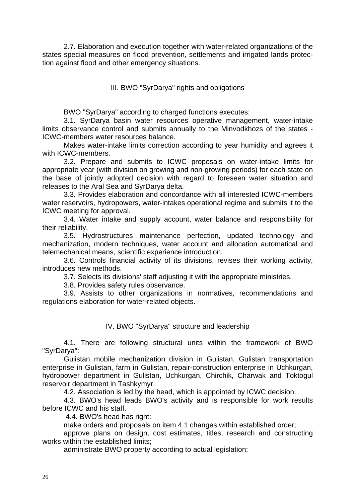2.7. Elaboration and execution together with water-related organizations of the states special measures on flood prevention, settlements and irrigated lands protection against flood and other emergency situations.

III. BWO "SyrDarya" rights and obligations

BWO "SyrDarya" according to charged functions executes:

 3.1. SyrDarya basin water resources operative management, water-intake limits observance control and submits annually to the Minvodkhozs of the states - ICWC-members water resources balance.

 Makes water-intake limits correction according to year humidity and agrees it with ICWC-members.

 3.2. Prepare and submits to ICWC proposals on water-intake limits for appropriate year (with division on growing and non-growing periods) for each state on the base of jointly adopted decision with regard to foreseen water situation and releases to the Aral Sea and SyrDarya delta.

 3.3. Provides elaboration and concordance with all interested ICWC-members water reservoirs, hydropowers, water-intakes operational regime and submits it to the ICWC meeting for approval.

 3.4. Water intake and supply account, water balance and responsibility for their reliability.

 3.5. Hydrostructures maintenance perfection, updated technology and mechanization, modern techniques, water account and allocation automatical and telemechanical means, scientific experience introduction.

 3.6. Controls financial activity of its divisions, revises their working activity, introduces new methods.

3.7. Selects its divisions' staff adjusting it with the appropriate ministries.

3.8. Provides safety rules observance.

 3.9. Assists to other organizations in normatives, recommendations and regulations elaboration for water-related objects.

## IV. BWO "SyrDarya" structure and leadership

 4.1. There are following structural units within the framework of BWO "SyrDarya":

 Gulistan mobile mechanization division in Gulistan, Gulistan transportation enterprise in Gulistan, farm in Gulistan, repair-construction enterprise in Uchkurgan, hydropower department in Gulistan, Uchkurgan, Chirchik, Charwak and Toktogul reservoir department in Tashkymyr.

4.2. Association is led by the head, which is appointed by ICWC decision.

 4.3. BWO's head leads BWO's activity and is responsible for work results before ICWC and his staff.

4.4. BWO's head has right:

make orders and proposals on item 4.1 changes within established order;

 approve plans on design, cost estimates, titles, research and constructing works within the established limits;

administrate BWO property according to actual legislation;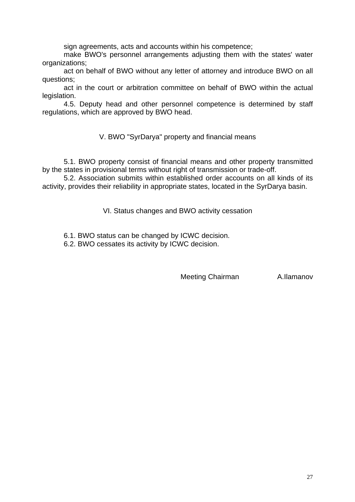sign agreements, acts and accounts within his competence;

 make BWO's personnel arrangements adjusting them with the states' water organizations;

 act on behalf of BWO without any letter of attorney and introduce BWO on all questions;

 act in the court or arbitration committee on behalf of BWO within the actual legislation.

 4.5. Deputy head and other personnel competence is determined by staff regulations, which are approved by BWO head.

V. BWO "SyrDarya" property and financial means

 5.1. BWO property consist of financial means and other property transmitted by the states in provisional terms without right of transmission or trade-off.

 5.2. Association submits within established order accounts on all kinds of its activity, provides their reliability in appropriate states, located in the SyrDarya basin.

VI. Status changes and BWO activity cessation

6.1. BWO status can be changed by ICWC decision.

6.2. BWO cessates its activity by ICWC decision.

Meeting Chairman A.Ilamanov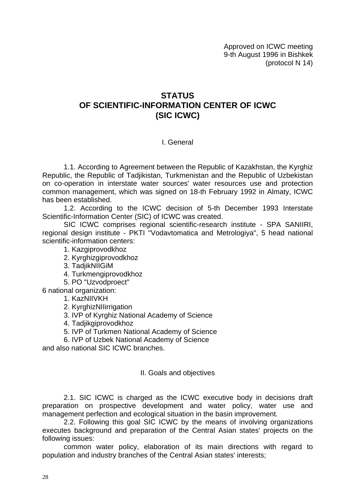Approved on ICWC meeting 9-th August 1996 in Bishkek (protocol N 14)

## **STATUS OF SCIENTIFIC-INFORMATION CENTER OF ICWC (SIC ICWC)**

#### I. General

 1.1. According to Agreement between the Republic of Kazakhstan, the Kyrghiz Republic, the Republic of Tadjikistan, Turkmenistan and the Republic of Uzbekistan on co-operation in interstate water sources' water resources use and protection common management, which was signed on 18-th February 1992 in Almaty, ICWC has been established.

 1.2. According to the ICWC decision of 5-th December 1993 Interstate Scientific-Information Center (SIC) of ICWC was created.

 SIC ICWC comprises regional scientific-research institute - SPA SANIIRI, regional design institute - PKTI "Vodavtomatica and Metrologiya", 5 head national scientific-information centers:

1. Kazgiprovodkhoz

- 2. Kyrghizgiprovodkhoz
- 3. TadjikNIIGiM
- 4. Turkmengiprovodkhoz

5. PO "Uzvodproect"

6 national organization:

#### 1. KazNIIVKH

- 2. KyrghizNIIirrigation
- 3. IVP of Kyrghiz National Academy of Science
- 4. Tadjikgiprovodkhoz
- 5. IVP of Turkmen National Academy of Science
- 6. IVP of Uzbek National Academy of Science

and also national SIC ICWC branches.

#### II. Goals and objectives

 2.1. SIC ICWC is charged as the ICWC executive body in decisions draft preparation on prospective development and water policy, water use and management perfection and ecological situation in the basin improvement.

 2.2. Following this goal SIC ICWC by the means of involving organizations executes background and preparation of the Central Asian states' projects on the following issues:

 common water policy, elaboration of its main directions with regard to population and industry branches of the Central Asian states' interests;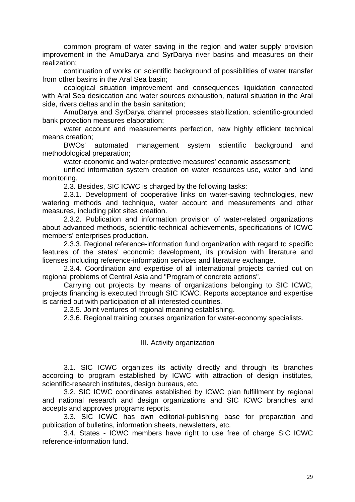common program of water saving in the region and water supply provision improvement in the AmuDarya and SyrDarya river basins and measures on their realization;

 continuation of works on scientific background of possibilities of water transfer from other basins in the Aral Sea basin;

 ecological situation improvement and consequences liquidation connected with Aral Sea desiccation and water sources exhaustion, natural situation in the Aral side, rivers deltas and in the basin sanitation;

 AmuDarya and SyrDarya channel processes stabilization, scientific-grounded bank protection measures elaboration;

 water account and measurements perfection, new highly efficient technical means creation;

 BWOs' automated management system scientific background and methodological preparation;

water-economic and water-protective measures' economic assessment;

 unified information system creation on water resources use, water and land monitoring.

2.3. Besides, SIC ICWC is charged by the following tasks:

 2.3.1. Development of cooperative links on water-saving technologies, new watering methods and technique, water account and measurements and other measures, including pilot sites creation.

 2.3.2. Publication and information provision of water-related organizations about advanced methods, scientific-technical achievements, specifications of ICWC members' enterprises production.

 2.3.3. Regional reference-information fund organization with regard to specific features of the states' economic development, its provision with literature and licenses including reference-information services and literature exchange.

 2.3.4. Coordination and expertise of all international projects carried out on regional problems of Central Asia and "Program of concrete actions".

 Carrying out projects by means of organizations belonging to SIC ICWC, projects financing is executed through SIC ICWC. Reports acceptance and expertise is carried out with participation of all interested countries.

2.3.5. Joint ventures of regional meaning establishing.

2.3.6. Regional training courses organization for water-economy specialists.

III. Activity organization

 3.1. SIC ICWC organizes its activity directly and through its branches according to program established by ICWC with attraction of design institutes, scientific-research institutes, design bureaus, etc.

 3.2. SIC ICWC coordinates established by ICWC plan fulfillment by regional and national research and design organizations and SIC ICWC branches and accepts and approves programs reports.

 3.3. SIC ICWC has own editorial-publishing base for preparation and publication of bulletins, information sheets, newsletters, etc.

 3.4. States - ICWC members have right to use free of charge SIC ICWC reference-information fund.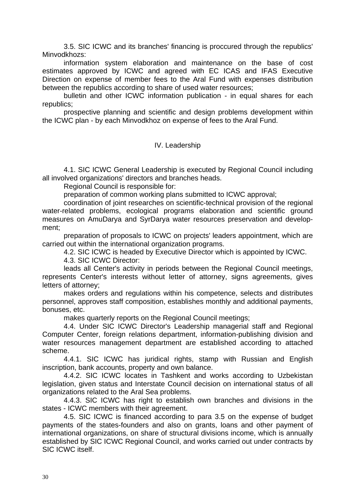3.5. SIC ICWC and its branches' financing is proccured through the republics' Minvodkhozs:

 information system elaboration and maintenance on the base of cost estimates approved by ICWC and agreed with EC ICAS and IFAS Executive Direction on expense of member fees to the Aral Fund with expenses distribution between the republics according to share of used water resources;

 bulletin and other ICWC information publication - in equal shares for each republics;

 prospective planning and scientific and design problems development within the ICWC plan - by each Minvodkhoz on expense of fees to the Aral Fund.

## IV. Leadership

 4.1. SIC ICWC General Leadership is executed by Regional Council including all involved organizations' directors and branches heads.

Regional Council is responsible for:

preparation of common working plans submitted to ICWC approval;

 coordination of joint researches on scientific-technical provision of the regional water-related problems, ecological programs elaboration and scientific ground measures on AmuDarya and SyrDarya water resources preservation and development;

 preparation of proposals to ICWC on projects' leaders appointment, which are carried out within the international organization programs.

4.2. SIC ICWC is headed by Executive Director which is appointed by ICWC.

4.3. SIC ICWC Director:

 leads all Center's activity in periods between the Regional Council meetings, represents Center's interests without letter of attorney, signs agreements, gives letters of attorney;

 makes orders and regulations within his competence, selects and distributes personnel, approves staff composition, establishes monthly and additional payments, bonuses, etc.

makes quarterly reports on the Regional Council meetings;

 4.4. Under SIC ICWC Director's Leadership managerial staff and Regional Computer Center, foreign relations department, information-publishing division and water resources management department are established according to attached scheme.

 4.4.1. SIC ICWC has juridical rights, stamp with Russian and English inscription, bank accounts, property and own balance.

 4.4.2. SIC ICWC locates in Tashkent and works according to Uzbekistan legislation, given status and Interstate Council decision on international status of all organizations related to the Aral Sea problems.

 4.4.3. SIC ICWC has right to establish own branches and divisions in the states - ICWC members with their agreement.

 4.5. SIC ICWC is financed according to para 3.5 on the expense of budget payments of the states-founders and also on grants, loans and other payment of international organizations, on share of structural divisions income, which is annually established by SIC ICWC Regional Council, and works carried out under contracts by SIC ICWC itself.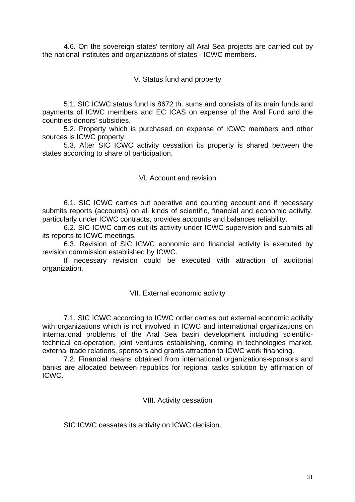4.6. On the sovereign states' territory all Aral Sea projects are carried out by the national institutes and organizations of states - ICWC members.

V. Status fund and property

 5.1. SIC ICWC status fund is 8672 th. sums and consists of its main funds and payments of ICWC members and EC ICAS on expense of the Aral Fund and the countries-donors' subsidies.

 5.2. Property which is purchased on expense of ICWC members and other sources is ICWC property.

 5.3. After SIC ICWC activity cessation its property is shared between the states according to share of participation.

## VI. Account and revision

 6.1. SIC ICWC carries out operative and counting account and if necessary submits reports (accounts) on all kinds of scientific, financial and economic activity, particularly under ICWC contracts, provides accounts and balances reliability.

 6.2. SIC ICWC carries out its activity under ICWC supervision and submits all its reports to ICWC meetings.

 6.3. Revision of SIC ICWC economic and financial activity is executed by revision commission established by ICWC.

 If necessary revision could be executed with attraction of auditorial organization.

## VII. External economic activity

 7.1. SIC ICWC according to ICWC order carries out external economic activity with organizations which is not involved in ICWC and international organizations on international problems of the Aral Sea basin development including scientifictechnical co-operation, joint ventures establishing, coming in technologies market, external trade relations, sponsors and grants attraction to ICWC work financing.

 7.2. Financial means obtained from international organizations-sponsors and banks are allocated between republics for regional tasks solution by affirmation of ICWC.

## VIII. Activity cessation

SIC ICWC cessates its activity on ICWC decision.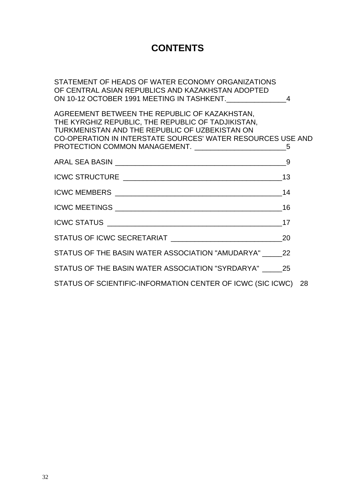## **CONTENTS**

STATEMENT OF HEADS OF WATER ECONOMY ORGANIZATIONS OF CENTRAL ASIAN REPUBLICS AND KAZAKHSTAN ADOPTED ON 10-12 OCTOBER 1991 MEETING IN TASHKENT. 4

AGREEMENT BETWEEN THE REPUBLIC OF KAZAKHSTAN, THE KYRGHIZ REPUBLIC, THE REPUBLIC OF TADJIKISTAN, TURKMENISTAN AND THE REPUBLIC OF UZBEKISTAN ON CO-OPERATION IN INTERSTATE SOURCES' WATER RESOURCES USE AND PROTECTION COMMON MANAGEMENT.  $\overline{5}$ 

|                                                               | - 9 |  |
|---------------------------------------------------------------|-----|--|
|                                                               |     |  |
|                                                               |     |  |
|                                                               |     |  |
|                                                               |     |  |
|                                                               |     |  |
| STATUS OF THE BASIN WATER ASSOCIATION "AMUDARYA" 22           |     |  |
| STATUS OF THE BASIN WATER ASSOCIATION "SYRDARYA" 25           |     |  |
| STATUS OF SCIENTIFIC-INFORMATION CENTER OF ICWC (SIC ICWC) 28 |     |  |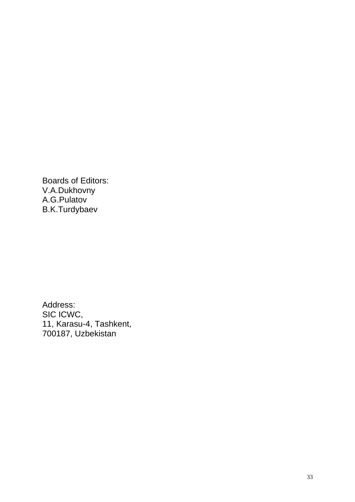Boards of Editors: V.A.Dukhovny A.G.Pulatov B.K.Turdybaev

Address: SIC ICWC, 11, Karasu-4, Tashkent, 700187, Uzbekistan